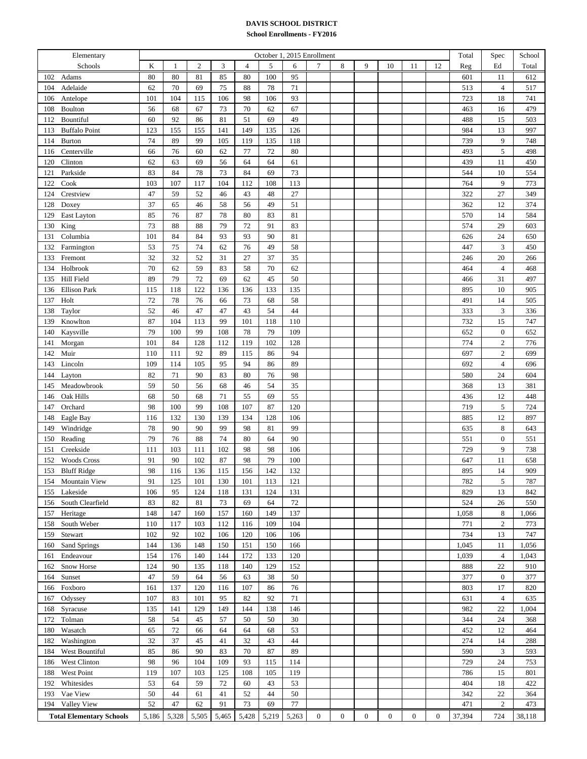## **DAVIS SCHOOL DISTRICT**

## **School Enrollments - FY2016**

| Elementary                      | October 1, 2015 Enrollment |       |              |       |                |        |        |              |              |              |              |                  | Total          | Spec   | School           |        |
|---------------------------------|----------------------------|-------|--------------|-------|----------------|--------|--------|--------------|--------------|--------------|--------------|------------------|----------------|--------|------------------|--------|
| Schools                         | K                          | 1     | $\mathbf{2}$ | 3     | $\overline{4}$ | 5      | 6      | 7            | 8            | 9            | 10           | 11               | 12             | Reg    | Ed               | Total  |
| Adams<br>102                    | 80                         | 80    | 81           | 85    | 80             | 100    | 95     |              |              |              |              |                  |                | 601    | 11               | 612    |
| Adelaide<br>104                 | 62                         | 70    | 69           | 75    | 88             | 78     | $71\,$ |              |              |              |              |                  |                | 513    | $\overline{4}$   | 517    |
| Antelope<br>106                 | 101                        | 104   | 115          | 106   | 98             | 106    | 93     |              |              |              |              |                  |                | 723    | 18               | 741    |
| Boulton<br>108                  | 56                         | 68    | 67           | 73    | 70             | 62     | 67     |              |              |              |              |                  |                | 463    | 16               | 479    |
| Bountiful<br>112                | 60                         | 92    | 86           | 81    | 51             | 69     | 49     |              |              |              |              |                  |                | 488    | 15               | 503    |
| <b>Buffalo Point</b><br>113     | 123                        | 155   | 155          | 141   | 149            | 135    | 126    |              |              |              |              |                  |                | 984    | 13               | 997    |
| 114<br><b>Burton</b>            | 74                         | 89    | 99           | 105   | 119            | 135    | 118    |              |              |              |              |                  |                | 739    | 9                | 748    |
| Centerville<br>116              | 66                         | 76    | 60           | 62    | 77             | $72\,$ | 80     |              |              |              |              |                  |                | 493    | $\mathfrak s$    | 498    |
| 120<br>Clinton                  | 62                         | 63    | 69           | 56    | 64             | 64     | 61     |              |              |              |              |                  |                | 439    | 11               | 450    |
| Parkside<br>121                 | 83                         | 84    | 78           | 73    | 84             | 69     | 73     |              |              |              |              |                  |                | 544    | 10               | 554    |
| 122<br>Cook                     | 103                        | 107   | 117          | 104   | 112            | 108    | 113    |              |              |              |              |                  |                | 764    | 9                | 773    |
| 124<br>Crestview                | 47                         | 59    | 52           | 46    | 43             | 48     | 27     |              |              |              |              |                  |                | 322    | 27               | 349    |
| 128<br>Doxey                    | 37                         | 65    | 46           | 58    | 56             | 49     | 51     |              |              |              |              |                  |                | 362    | 12               | 374    |
| 129<br>East Layton              | 85                         | 76    | 87           | 78    | 80             | 83     | 81     |              |              |              |              |                  |                | 570    | 14               | 584    |
| 130<br>King                     | 73                         | 88    | 88           | 79    | 72             | 91     | 83     |              |              |              |              |                  |                | 574    | 29               | 603    |
| Columbia<br>131                 | 101                        | 84    | 84           | 93    | 93             | 90     | 81     |              |              |              |              |                  |                | 626    | 24               | 650    |
| 132<br>Farmington               | 53                         | 75    | 74           | 62    | 76             | 49     | 58     |              |              |              |              |                  |                | 447    | 3                | 450    |
| Fremont<br>133                  | 32                         | 32    | 52           | 31    | 27             | 37     | 35     |              |              |              |              |                  |                | 246    | $20\,$           | 266    |
| Holbrook<br>134                 | 70                         | 62    | 59           | 83    | 58             | 70     | 62     |              |              |              |              |                  |                | 464    | $\overline{4}$   | 468    |
| Hill Field<br>135               | 89                         | 79    | 72           | 69    | 62             | 45     | 50     |              |              |              |              |                  |                | 466    | 31               | 497    |
| <b>Ellison Park</b><br>136      | 115                        | 118   | 122          | 136   | 136            | 133    | 135    |              |              |              |              |                  |                | 895    | $10\,$           | 905    |
| Holt<br>137                     | 72                         | 78    | 76           | 66    | 73             | 68     | 58     |              |              |              |              |                  |                | 491    | 14               | 505    |
| Taylor<br>138                   | 52                         | 46    | 47           | 47    | 43             | 54     | 44     |              |              |              |              |                  |                | 333    | 3                | 336    |
| 139<br>Knowlton                 | 87                         | 104   | 113          | 99    | 101            | 118    | 110    |              |              |              |              |                  |                | 732    | 15               | 747    |
| 140<br>Kaysville                | 79                         | 100   | 99           | 108   | 78             | 79     | 109    |              |              |              |              |                  |                | 652    | $\boldsymbol{0}$ | 652    |
| 141<br>Morgan                   | 101                        | 84    | 128          | 112   | 119            | 102    | 128    |              |              |              |              |                  |                | 774    | $\boldsymbol{2}$ | 776    |
| Muir<br>142                     | 110                        | 111   | 92           | 89    | 115            | 86     | 94     |              |              |              |              |                  |                | 697    | $\sqrt{2}$       | 699    |
| Lincoln<br>143                  | 109                        | 114   | 105          | 95    | 94             | 86     | 89     |              |              |              |              |                  |                | 692    | $\overline{4}$   | 696    |
| 144<br>Layton                   | 82                         | 71    | 90           | 83    | 80             | 76     | 98     |              |              |              |              |                  |                | 580    | 24               | 604    |
| Meadowbrook<br>145              | 59                         | 50    | 56           | 68    | 46             | 54     | 35     |              |              |              |              |                  |                | 368    | 13               | 381    |
| Oak Hills<br>146                | 68                         | 50    | 68           | 71    | 55             | 69     | 55     |              |              |              |              |                  |                | 436    | 12               | 448    |
| Orchard<br>147                  | 98                         | 100   | 99           | 108   | 107            | 87     | 120    |              |              |              |              |                  |                | 719    | 5                | 724    |
| Eagle Bay<br>148                | 116                        | 132   | 130          | 139   | 134            | 128    | 106    |              |              |              |              |                  |                | 885    | 12               | 897    |
| 149<br>Windridge                | 78                         | 90    | 90           | 99    | 98             | 81     | 99     |              |              |              |              |                  |                | 635    | 8                | 643    |
| 150<br>Reading                  | 79                         | 76    | 88           | 74    | 80             | 64     | 90     |              |              |              |              |                  |                | 551    | $\boldsymbol{0}$ | 551    |
| Creekside<br>151                | 111                        | 103   | 111          | 102   | 98             | 98     | 106    |              |              |              |              |                  |                | 729    | 9                | 738    |
| <b>Woods Cross</b><br>152       | 91                         | 90    | 102          | 87    | 98             | 79     | 100    |              |              |              |              |                  |                | 647    | 11               | 658    |
| <b>Bluff Ridge</b><br>153       | 98                         | 116   | 136          | 115   | 156            | 142    | 132    |              |              |              |              |                  |                | 895    | 14               | 909    |
| Mountain View<br>154            | 91                         | 125   | 101          | 130   | 101            | 113    | 121    |              |              |              |              |                  |                | 782    | 5                | 787    |
| Lakeside<br>155                 | 106                        | 95    | 124          | 118   | 131            | 124    | 131    |              |              |              |              |                  |                | 829    | 13               | 842    |
| South Clearfield<br>156         | 83                         | 82    | 81           | 73    | 69             | 64     | 72     |              |              |              |              |                  |                | 524    | 26               | 550    |
| 157<br>Heritage                 | 148                        | 147   | 160          | 157   | 160            | 149    | 137    |              |              |              |              |                  |                | 1,058  | 8                | 1,066  |
| South Weber<br>158              | 110                        | 117   | 103          | 112   | 116            | 109    | 104    |              |              |              |              |                  |                | 771    | $\mathbf{2}$     | 773    |
| 159<br>Stewart                  | 102                        | 92    | 102          | 106   | 120            | 106    | 106    |              |              |              |              |                  |                | 734    | 13               | 747    |
| 160<br>Sand Springs             | 144                        | 136   | 148          | 150   | 151            | 150    | 166    |              |              |              |              |                  |                | 1,045  | 11               | 1,056  |
| Endeavour<br>161                | 154                        | 176   | 140          | 144   | 172            | 133    | 120    |              |              |              |              |                  |                | 1,039  | $\overline{4}$   | 1,043  |
| <b>Snow Horse</b><br>162        | 124                        | 90    | 135          | 118   | 140            | 129    | 152    |              |              |              |              |                  |                | 888    | 22               | 910    |
| Sunset<br>164                   | 47                         | 59    | 64           | 56    | 63             | 38     | 50     |              |              |              |              |                  |                | 377    | $\boldsymbol{0}$ | 377    |
| Foxboro<br>166                  | 161                        | 137   | 120          | 116   | 107            | 86     | 76     |              |              |              |              |                  |                | 803    | 17               | 820    |
| Odyssey<br>167                  | 107                        | 83    | 101          | 95    | 82             | 92     | 71     |              |              |              |              |                  |                | 631    | 4                | 635    |
| 168<br>Syracuse                 | 135                        | 141   | 129          | 149   | 144            | 138    | 146    |              |              |              |              |                  |                | 982    | 22               | 1,004  |
| Tolman<br>172                   | 58                         | 54    | 45           | 57    | 50             | 50     | 30     |              |              |              |              |                  |                | 344    | 24               | 368    |
| Wasatch<br>180                  | 65                         | 72    | 66           | 64    | 64             | 68     | 53     |              |              |              |              |                  |                | 452    | 12               | 464    |
| Washington<br>182               | 32                         | 37    | 45           | 41    | 32             | 43     | 44     |              |              |              |              |                  |                | 274    | 14               | 288    |
| West Bountiful<br>184           | 85                         | 86    | 90           | 83    | 70             | 87     | 89     |              |              |              |              |                  |                | 590    | 3                | 593    |
| West Clinton<br>186             | 98                         | 96    | 104          | 109   | 93             | 115    | 114    |              |              |              |              |                  |                | 729    | 24               | 753    |
| West Point<br>188               | 119                        | 107   | 103          | 125   | 108            | 105    | 119    |              |              |              |              |                  |                | 786    | 15               | 801    |
| Whitesides<br>192               | 53                         | 64    | 59           | 72    | 60             | 43     | 53     |              |              |              |              |                  |                | 404    | 18               | 422    |
| 193<br>Vae View                 | 50                         | 44    | 61           | 41    | 52             | 44     | 50     |              |              |              |              |                  |                | 342    | 22               | 364    |
| Valley View<br>194              | 52                         | 47    | 62           | 91    | 73             | 69     | 77     |              |              |              |              |                  |                | 471    | 2                | 473    |
| <b>Total Elementary Schools</b> | 5,186                      | 5,328 | 5,505        | 5,465 | 5,428          | 5,219  | 5,263  | $\mathbf{0}$ | $\mathbf{0}$ | $\mathbf{0}$ | $\mathbf{0}$ | $\boldsymbol{0}$ | $\overline{0}$ | 37,394 | 724              | 38,118 |